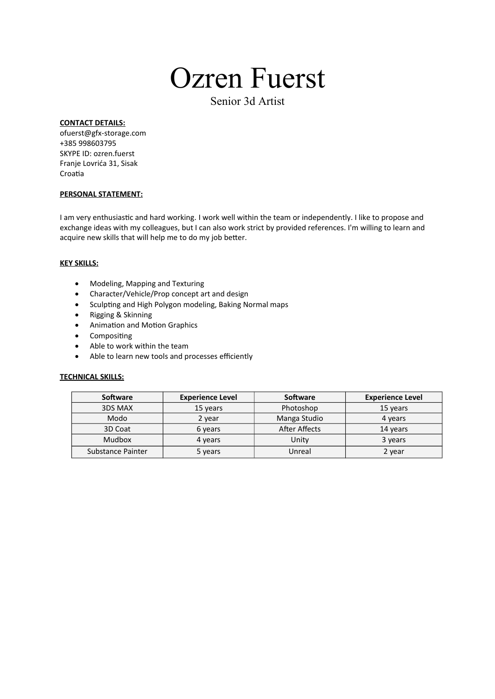# Ozren Fuerst

Senior 3d Artist

### **CONTACT DETAILS:**

ofuerst@gfx-storage.com +385 998603795 SKYPE ID: ozren.fuerst Franje Lovrića 31, Sisak Croatia

### **PERSONAL STATEMENT:**

I am very enthusiastic and hard working. I work well within the team or independently. I like to propose and exchange ideas with my colleagues, but I can also work strict by provided references. I'm willing to learn and acquire new skills that will help me to do my job beter.

#### **KEY SKILLS:**

- Modeling, Mapping and Texturing
- Character/Vehicle/Prop concept art and design
- Sculpting and High Polygon modeling, Baking Normal maps
- Rigging & Skinning
- Animation and Motion Graphics
- Compositing
- Able to work within the team
- $\bullet$  Able to learn new tools and processes efficiently

### **TECHNICAL SKILLS:**

| <b>Software</b>   | <b>Experience Level</b> | <b>Software</b>      | <b>Experience Level</b> |
|-------------------|-------------------------|----------------------|-------------------------|
| 3DS MAX           | 15 years                | Photoshop            | 15 years                |
| Modo              | 2 year                  | Manga Studio         | 4 years                 |
| 3D Coat           | 6 years                 | <b>After Affects</b> | 14 years                |
| <b>Mudbox</b>     | 4 years                 | Unity                | 3 years                 |
| Substance Painter | 5 years                 | Unreal               | 2 year                  |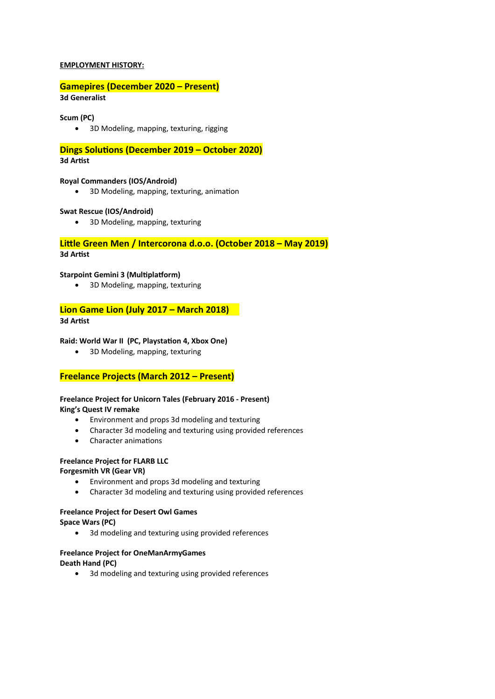### **EMPLOYMENT HISTORY:**

### **Gamepires (December 2020 – Present)**

**3d Generalist**

### **Scum (PC)**

3D Modeling, mapping, texturing, rigging

**Dings Solutions (December 2019 – October 2020)**

### **3d Artist**

### **Royal Commanders (IOS/Android)**

• 3D Modeling, mapping, texturing, animation

### **Swat Rescue (IOS/Android)**

3D Modeling, mapping, texturing

### Little Green Men / Intercorona d.o.o. (October 2018 – May 2019)

**3d Artist**

### **Starpoint Gemini 3 (Multiplatform)**

3D Modeling, mapping, texturing

### **Lion Game Lion (July 2017 – March 2018)**

### **3d Artist**

### **Raid: World War II (PC, Playstation 4, Xbox One)**

• 3D Modeling, mapping, texturing

### **Freelance Projects (March 2012 – Present)**

## **Freelance Project for Unicorn Tales (February 2016 - Present)**

**King's Quest IV remake**

- Environment and props 3d modeling and texturing
- Character 3d modeling and texturing using provided references
- Character animations

### **Freelance Project for FLARB LLC**

**Forgesmith VR (Gear VR)**

- Environment and props 3d modeling and texturing
- Character 3d modeling and texturing using provided references

### **Freelance Project for Desert Owl Games**

**Space Wars (PC)**

• 3d modeling and texturing using provided references

### **Freelance Project for OneManArmyGames**

**Death Hand (PC)**

3d modeling and texturing using provided references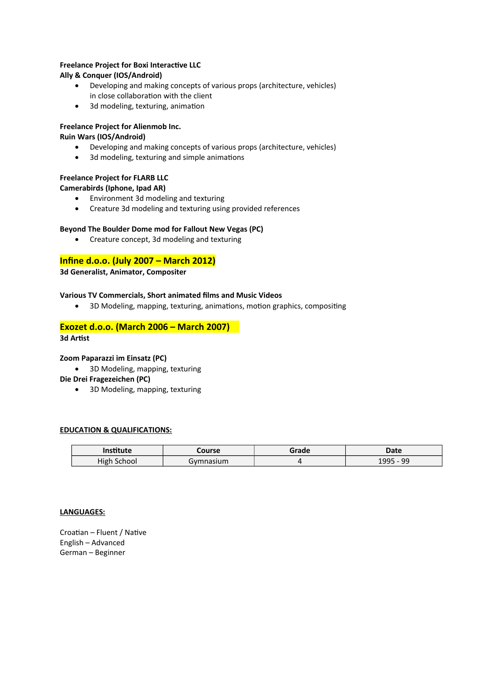### **Freelance Project for Boxi Interactive LLC**

### **Ally & Conquer (IOS/Android)**

- Developing and making concepts of various props (architecture, vehicles) in close collaboration with the client
- 3d modeling, texturing, animation

### **Freelance Project for Alienmob Inc.**

### **Ruin Wars (IOS/Android)**

- Developing and making concepts of various props (architecture, vehicles)
- 3d modeling, texturing and simple animations

### **Freelance Project for FLARB LLC**

### **Camerabirds (Iphone, Ipad AR)**

- Environment 3d modeling and texturing
- Creature 3d modeling and texturing using provided references

### **Beyond The Boulder Dome mod for Fallout New Vegas (PC)**

Creature concept, 3d modeling and texturing

### **Infine d.o.o. (July 2007 – March 2012)**

**3d Generalist, Animator, Compositer**

### **Various TV Commercials, Short animated films and Music Videos**

• 3D Modeling, mapping, texturing, animations, motion graphics, compositing

### **Exozet d.o.o. (March 2006 – March 2007)**

### **3d Artist**

### **Zoom Paparazzi im Einsatz (PC)**

• 3D Modeling, mapping, texturing

**Die Drei Fragezeichen (PC)**

• 3D Modeling, mapping, texturing

### **EDUCATION & QUALIFICATIONS:**

| nstitute       | Lourse   | Grade | Date            |
|----------------|----------|-------|-----------------|
| High<br>School | vmnasium |       | ۵Q<br>00F<br>-- |

### **LANGUAGES:**

Croatian – Fluent / Native English – Advanced German – Beginner